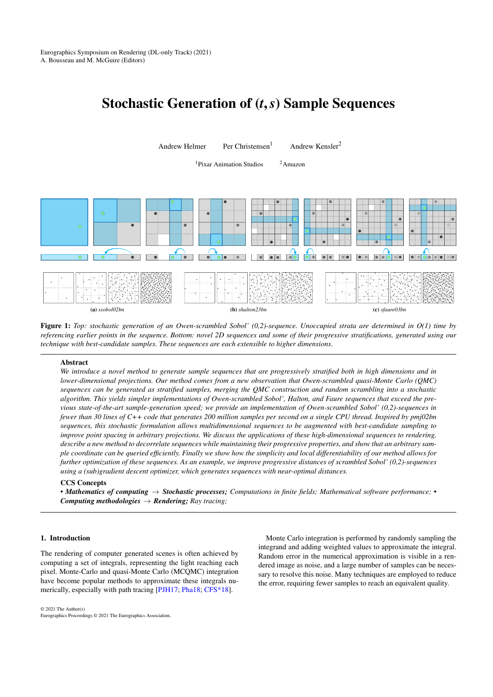# <span id="page-0-2"></span>Stochastic Generation of (*t*,*s*) Sample Sequences



Figure 1: *Top: stochastic generation of an Owen-scrambled Sobol' (0,2)-sequence. Unoccupied strata are determined in O(1) time by referencing earlier points in the sequence. Bottom: novel 2D sequences and some of their progressive stratifications, generated using our technique with best-candidate samples. These sequences are each extensible to higher dimensions.*

## <span id="page-0-0"></span>Abstract

*We introduce a novel method to generate sample sequences that are progressively stratified both in high dimensions and in lower-dimensional projections. Our method comes from a new observation that Owen-scrambled quasi-Monte Carlo (QMC) sequences can be generated as stratified samples, merging the QMC construction and random scrambling into a stochastic algorithm. This yields simpler implementations of Owen-scrambled Sobol', Halton, and Faure sequences that exceed the previous state-of-the-art sample-generation speed; we provide an implementation of Owen-scrambled Sobol' (0,2)-sequences in fewer than 30 lines of C++ code that generates 200 million samples per second on a single CPU thread. Inspired by pmj02bn sequences, this stochastic formulation allows multidimensional sequences to be augmented with best-candidate sampling to improve point spacing in arbitrary projections. We discuss the applications of these high-dimensional sequences to rendering, describe a new method to decorrelate sequences while maintaining their progressive properties, and show that an arbitrary sample coordinate can be queried efficiently. Finally we show how the simplicity and local differentiability of our method allows for further optimization of these sequences. As an example, we improve progressive distances of scrambled Sobol' (0,2)-sequences using a (sub)gradient descent optimizer, which generates sequences with near-optimal distances.*

# CCS Concepts

*• Mathematics of computing* → *Stochastic processes; Computations in finite fields; Mathematical software performance; • Computing methodologies*  $\rightarrow$  *Rendering; Ray tracing;* 

# 1. Introduction

The rendering of computer generated scenes is often achieved by computing a set of integrals, representing the light reaching each pixel. Monte-Carlo and quasi-Monte Carlo (MCQMC) integration have become popular methods to approximate these integrals numerically, especially with path tracing [\[PJH17;](#page-12-0) [Pha18;](#page-12-1) [CFS\\*18\]](#page-12-2).

<span id="page-0-1"></span>Monte Carlo integration is performed by randomly sampling the integrand and adding weighted values to approximate the integral. Random error in the numerical approximation is visible in a rendered image as noise, and a large number of samples can be necessary to resolve this noise. Many techniques are employed to reduce the error, requiring fewer samples to reach an equivalent quality.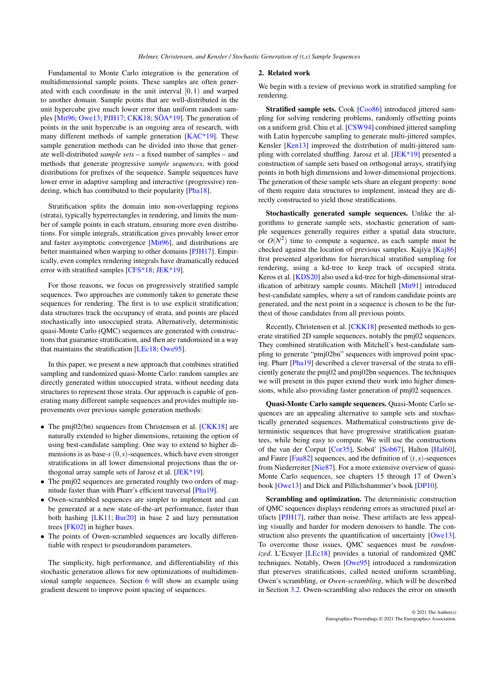<span id="page-1-0"></span>Fundamental to Monte Carlo integration is the generation of multidimensional sample points. These samples are often generated with each coordinate in the unit interval  $[0,1)$  and warped to another domain. Sample points that are well-distributed in the unit hypercube give much lower error than uniform random samples [\[Mit96;](#page-12-3) [Owe13;](#page-12-4) [PJH17;](#page-12-0) [CKK18;](#page-12-5) [SÖA\\*19\]](#page-12-6). The generation of points in the unit hypercube is an ongoing area of research, with many different methods of sample generation [\[KAC\\*19\]](#page-12-7). These sample generation methods can be divided into those that generate well-distributed *sample sets* – a fixed number of samples – and methods that generate progressive *sample sequences*, with good distributions for prefixes of the sequence. Sample sequences have lower error in adaptive sampling and interactive (progressive) rendering, which has contributed to their popularity [\[Pha18\]](#page-12-1).

Stratification splits the domain into non-overlapping regions (strata), typically hyperrectangles in rendering, and limits the number of sample points in each stratum, ensuring more even distributions. For simple integrals, stratification gives provably lower error and faster asymptotic convergence [\[Mit96\]](#page-12-3), and distributions are better maintained when warping to other domains [\[PJH17\]](#page-12-0). Empirically, even complex rendering integrals have dramatically reduced error with stratified samples [\[CFS\\*18;](#page-12-2) [JEK\\*19\]](#page-12-8).

For those reasons, we focus on progressively stratified sample sequences. Two approaches are commonly taken to generate these sequences for rendering. The first is to use explicit stratification; data structures track the occupancy of strata, and points are placed stochastically into unoccupied strata. Alternatively, deterministic quasi-Monte Carlo (QMC) sequences are generated with constructions that guarantee stratification, and then are randomized in a way that maintains the stratification [\[LEc18;](#page-12-9) [Owe95\]](#page-12-10).

In this paper, we present a new approach that combines stratified sampling and randomized quasi-Monte Carlo: random samples are directly generated within unoccupied strata, without needing data structures to represent those strata. Our approach is capable of generating many different sample sequences and provides multiple improvements over previous sample generation methods:

- The pmj02(bn) sequences from Christensen et al.  $[CKK18]$  are naturally extended to higher dimensions, retaining the option of using best-candidate sampling. One way to extend to higher dimensions is as base-*s* (0,*s*)-sequences, which have even stronger stratifications in all lower dimensional projections than the orthogonal array sample sets of Jarosz et al. [\[JEK\\*19\]](#page-12-8).
- The pmj02 sequences are generated roughly two orders of magnitude faster than with Pharr's efficient traversal [\[Pha19\]](#page-12-11).
- Owen-scrambled sequences are simpler to implement and can be generated at a new state-of-the-art performance, faster than both hashing [\[LK11;](#page-12-12) [Bur20\]](#page-12-13) in base 2 and lazy permutation trees [\[FK02\]](#page-12-14) in higher bases.
- The points of Owen-scrambled sequences are locally differentiable with respect to pseudorandom parameters.

The simplicity, high performance, and differentiability of this stochastic generation allows for new optimizations of multidimensional sample sequences. Section [6](#page-11-0) will show an example using gradient descent to improve point spacing of sequences.

#### 2. Related work

We begin with a review of previous work in stratified sampling for rendering.

Stratified sample sets. Cook [\[Coo86\]](#page-12-15) introduced jittered sampling for solving rendering problems, randomly offsetting points on a uniform grid. Chiu et al. [\[CSW94\]](#page-12-16) combined jittered sampling with Latin hypercube sampling to generate multi-jittered samples. Kensler [\[Ken13\]](#page-12-17) improved the distribution of multi-jittered sampling with correlated shuffling. Jarosz et al. [\[JEK\\*19\]](#page-12-8) presented a construction of sample sets based on orthogonal arrays, stratifying points in both high dimensions and lower-dimensional projections. The generation of these sample sets share an elegant property: none of them require data structures to implement, instead they are directly constructed to yield those stratifications.

Stochastically generated sample sequences. Unlike the algorithms to generate sample sets, stochastic generation of sample sequences generally requires either a spatial data structure, or  $O(N^2)$  time to compute a sequence, as each sample must be checked against the location of previous samples. Kajiya [\[Kaj86\]](#page-12-18) first presented algorithms for hierarchical stratified sampling for rendering, using a kd-tree to keep track of occupied strata. Keros et al. [\[KDS20\]](#page-12-19) also used a kd-tree for high-dimensional stratification of arbitrary sample counts. Mitchell [\[Mit91\]](#page-12-20) introduced best-candidate samples, where a set of random candidate points are generated, and the next point in a sequence is chosen to be the furthest of those candidates from all previous points.

Recently, Christensen et al. [\[CKK18\]](#page-12-5) presented methods to generate stratified 2D sample sequences, notably the pmj02 sequences. They combined stratification with Mitchell's best-candidate sampling to generate "pmj02bn" sequences with improved point spacing. Pharr [\[Pha19\]](#page-12-11) described a clever traversal of the strata to efficiently generate the pmj02 and pmj02bn sequences. The techniques we will present in this paper extend their work into higher dimensions, while also providing faster generation of pmj02 sequences.

Quasi-Monte Carlo sample sequences. Quasi-Monte Carlo sequences are an appealing alternative to sample sets and stochastically generated sequences. Mathematical constructions give deterministic sequences that have progressive stratification guarantees, while being easy to compute. We will use the constructions of the van der Corput [\[Cor35\]](#page-12-21), Sobol' [\[Sob67\]](#page-12-22), Halton [\[Hal60\]](#page-12-23), and Faure  $[Fau82]$  sequences, and the definition of  $(t, s)$ -sequences from Niederreiter [\[Nie87\]](#page-12-25). For a more extensive overview of quasi-Monte Carlo sequences, see chapters 15 through 17 of Owen's book [\[Owe13\]](#page-12-4) and Dick and Pillichshammer's book [\[DP10\]](#page-12-26).

Scrambling and optimization. The deterministic construction of QMC sequences displays rendering errors as structured pixel artifacts [\[PJH17\]](#page-12-0), rather than noise. These artifacts are less appealing visually and harder for modern denoisers to handle. The construction also prevents the quantification of uncertainty [\[Owe13\]](#page-12-4). To overcome those issues, QMC sequences must be *randomized*. L'Ecuyer [\[LEc18\]](#page-12-9) provides a tutorial of randomized QMC techniques. Notably, Owen [\[Owe95\]](#page-12-10) introduced a randomization that preserves stratifications, called nested uniform scrambling, Owen's scrambling, or *Owen-scrambling*, which will be described in Section [3.2.](#page-2-0) Owen-scrambling also reduces the error on smooth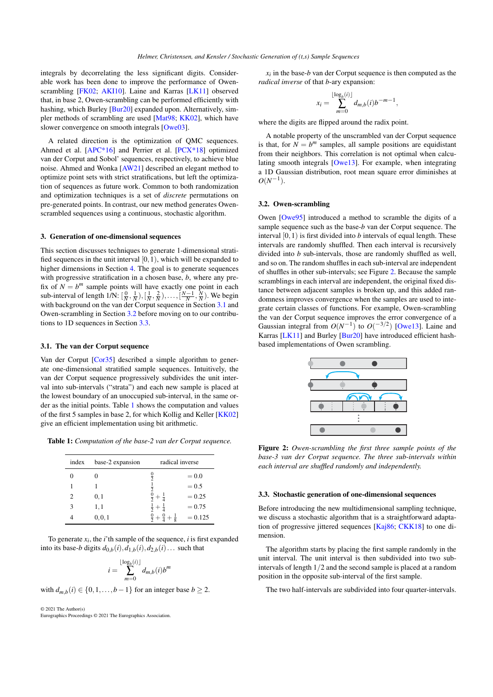<span id="page-2-6"></span>integrals by decorrelating the less significant digits. Considerable work has been done to improve the performance of Owen-scrambling [\[FK02;](#page-12-14) [AKI10\]](#page-11-1). Laine and Karras [\[LK11\]](#page-12-12) observed that, in base 2, Owen-scrambling can be performed efficiently with hashing, which Burley [\[Bur20\]](#page-12-13) expanded upon. Alternatively, simpler methods of scrambling are used [\[Mat98;](#page-12-27) [KK02\]](#page-12-28), which have slower convergence on smooth integrals [\[Owe03\]](#page-12-29).

A related direction is the optimization of QMC sequences. Ahmed et al. [\[APC\\*16\]](#page-11-2) and Perrier et al. [\[PCX\\*18\]](#page-12-30) optimized van der Corput and Sobol' sequences, respectively, to achieve blue noise. Ahmed and Wonka [\[AW21\]](#page-11-3) described an elegant method to optimize point sets with strict stratifications, but left the optimization of sequences as future work. Common to both randomization and optimization techniques is a set of *discrete* permutations on pre-generated points. In contrast, our new method generates Owenscrambled sequences using a continuous, stochastic algorithm.

#### <span id="page-2-5"></span>3. Generation of one-dimensional sequences

This section discusses techniques to generate 1-dimensional stratified sequences in the unit interval  $[0,1)$ , which will be expanded to higher dimensions in Section [4.](#page-3-0) The goal is to generate sequences with progressive stratification in a chosen base, *b*, where any prefix of  $N = b^m$  sample points will have exactly one point in each sub-interval of length  $1/N$ :  $\left[\frac{0}{N}, \frac{1}{N}\right), \left[\frac{1}{N}, \frac{2}{N}\right), \ldots, \left[\frac{N-1}{N}, \frac{N}{N}\right)$ . We begin with background on the van der Corput sequence in Section [3.1](#page-2-1) and Owen-scrambling in Section [3.2](#page-2-0) before moving on to our contributions to 1D sequences in Section [3.3.](#page-2-2)

#### <span id="page-2-1"></span>3.1. The van der Corput sequence

Van der Corput [\[Cor35\]](#page-12-21) described a simple algorithm to generate one-dimensional stratified sample sequences. Intuitively, the van der Corput sequence progressively subdivides the unit interval into sub-intervals ("strata") and each new sample is placed at the lowest boundary of an unoccupied sub-interval, in the same order as the initial points. Table [1](#page-2-3) shows the computation and values of the first 5 samples in base 2, for which Kollig and Keller [\[KK02\]](#page-12-28) give an efficient implementation using bit arithmetic.

<span id="page-2-3"></span>

| Table 1: Computation of the base-2 van der Corput sequence. |  |  |
|-------------------------------------------------------------|--|--|
|-------------------------------------------------------------|--|--|

| index | base-2 expansion | radical inverse                           |           |  |
|-------|------------------|-------------------------------------------|-----------|--|
|       |                  | $\frac{0}{2}$                             | $= 0.0$   |  |
|       |                  | $\frac{1}{2}$                             | $= 0.5$   |  |
| 2     | 0,1              |                                           | $= 0.25$  |  |
| 3     | 1,1              | $rac{1}{2} + \frac{1}{4}$                 | $= 0.75$  |  |
|       | 0, 0, 1          | $\frac{0}{2} + \frac{0}{4} + \frac{1}{8}$ | $= 0.125$ |  |

To generate  $x_i$ , the *i*'th sample of the sequence, *i* is first expanded into its base-*b* digits  $d_{0,b}(i), d_{1,b}(i), d_{2,b}(i)$ ... such that

$$
i = \sum_{m=0}^{\lfloor \log_b(i) \rfloor} d_{m,b}(i) b^m
$$

with  $d_{m,b}(i) \in \{0,1,\ldots,b-1\}$  for an integer base  $b \geq 2$ .

© 2021 The Author(s)

Eurographics Proceedings © 2021 The Eurographics Association.

 $x_i$  in the base-*b* van der Corput sequence is then computed as the *radical inverse* of that *b*-ary expansion:

$$
x_i = \sum_{m=0}^{\lfloor \log_b(i) \rfloor} d_{m,b}(i) b^{-m-1},
$$

where the digits are flipped around the radix point.

A notable property of the unscrambled van der Corput sequence is that, for  $N = b^m$  samples, all sample positions are equidistant from their neighbors. This correlation is not optimal when calculating smooth integrals [\[Owe13\]](#page-12-4). For example, when integrating a 1D Gaussian distribution, root mean square error diminishes at  $O(N^{-1}).$ 

# <span id="page-2-0"></span>3.2. Owen-scrambling

Owen [\[Owe95\]](#page-12-10) introduced a method to scramble the digits of a sample sequence such as the base-*b* van der Corput sequence. The interval  $[0,1)$  is first divided into *b* intervals of equal length. These intervals are randomly shuffled. Then each interval is recursively divided into *b* sub-intervals, those are randomly shuffled as well, and so on. The random shuffles in each sub-interval are independent of shuffles in other sub-intervals; see Figure [2.](#page-2-4) Because the sample scramblings in each interval are independent, the original fixed distance between adjacent samples is broken up, and this added randomness improves convergence when the samples are used to integrate certain classes of functions. For example, Owen-scrambling the van der Corput sequence improves the error convergence of a Gaussian integral from  $O(N^{-1})$  to  $O(\frac{-3}{2})$  [\[Owe13\]](#page-12-4). Laine and Karras [\[LK11\]](#page-12-12) and Burley [\[Bur20\]](#page-12-13) have introduced efficient hashbased implementations of Owen scrambling.

<span id="page-2-4"></span>

Figure 2: *Owen-scrambling the first three sample points of the base-3 van der Corput sequence. The three sub-intervals within each interval are shuffled randomly and independently.*

# <span id="page-2-2"></span>3.3. Stochastic generation of one-dimensional sequences

Before introducing the new multidimensional sampling technique, we discuss a stochastic algorithm that is a straightforward adaptation of progressive jittered sequences [\[Kaj86;](#page-12-18) [CKK18\]](#page-12-5) to one dimension.

The algorithm starts by placing the first sample randomly in the unit interval. The unit interval is then subdivided into two subintervals of length 1/2 and the second sample is placed at a random position in the opposite sub-interval of the first sample.

The two half-intervals are subdivided into four quarter-intervals.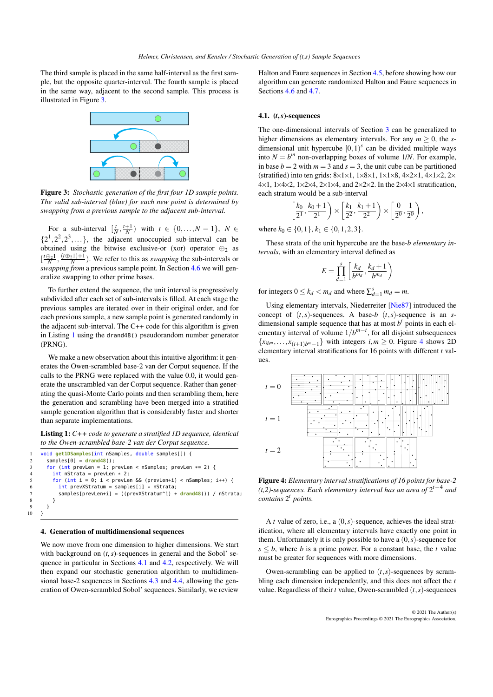<span id="page-3-5"></span><span id="page-3-1"></span>The third sample is placed in the same half-interval as the first sample, but the opposite quarter-interval. The fourth sample is placed in the same way, adjacent to the second sample. This process is illustrated in Figure [3.](#page-3-1)



Figure 3: *Stochastic generation of the first four 1D sample points. The valid sub-interval (blue) for each new point is determined by swapping from a previous sample to the adjacent sub-interval.*

For a sub-interval  $\left[\frac{t}{N}, \frac{t+1}{N}\right)$  with  $t \in \{0, ..., N-1\}$ ,  $N \in$  $\{2^1, 2^2, 2^3, \dots\}$ , the adjacent unoccupied sub-interval can be obtained using the bitwise exclusive-or (xor) operator  $\oplus_2$  as  $\left[\frac{t\oplus_2 1}{N}, \frac{(t\oplus_2 1)+1}{N}\right)$ . We refer to this as *swapping* the sub-intervals or *swapping from* a previous sample point. In Section [4.6](#page-7-0) we will generalize swapping to other prime bases.

To further extend the sequence, the unit interval is progressively subdivided after each set of sub-intervals is filled. At each stage the previous samples are iterated over in their original order, and for each previous sample, a new sample point is generated randomly in the adjacent sub-interval. The C++ code for this algorithm is given in Listing [1](#page-3-2) using the drand48() pseudorandom number generator (PRNG).

We make a new observation about this intuitive algorithm: it generates the Owen-scrambled base-2 van der Corput sequence. If the calls to the PRNG were replaced with the value 0.0, it would generate the unscrambled van der Corput sequence. Rather than generating the quasi-Monte Carlo points and then scrambling them, here the generation and scrambling have been merged into a stratified sample generation algorithm that is considerably faster and shorter than separate implementations.

<span id="page-3-2"></span>Listing 1: *C++ code to generate a stratified 1D sequence, identical to the Owen-scrambled base-2 van der Corput sequence.*

```
1 void get1DSamples(int nSamples, double samples[]) {
2 samples[0] = drand48();<br>3 for (int prevLen = 1; p
3 for (int prevLen = 1; prevLen < nSamples; prevLen *= 2) {
4 int nStrata = prevLen * 2;<br>5 for (int i = 0; i < prevLe
          for (int i = 0; i < prevLen && (prevLen+i) < nSamples; i++) {
6 int \, prevXStratum = samples[i] * nStrata;<br>
7 samples[prevLen+i] = ((prevXStratum^1) +7 samples[prevLen+i] = ((prevXStratum^1) + drand48()) / nStrata;
\begin{matrix} 8 \\ 9 \end{matrix} }
    }<sup>}</sup>
```
## <span id="page-3-0"></span>4. Generation of multidimensional sequences

 $10$ 

We now move from one dimension to higher dimensions. We start with background on  $(t, s)$ -sequences in general and the Sobol' sequence in particular in Sections [4.1](#page-3-3) and [4.2,](#page-4-0) respectively. We will then expand our stochastic generation algorithm to multidimensional base-2 sequences in Sections [4.3](#page-4-1) and [4.4,](#page-6-0) allowing the generation of Owen-scrambled Sobol' sequences. Similarly, we review

Halton and Faure sequences in Section [4.5,](#page-6-1) before showing how our algorithm can generate randomized Halton and Faure sequences in Sections [4.6](#page-7-0) and [4.7.](#page-8-0)

## <span id="page-3-3"></span>4.1. (*t*,*s*)-sequences

The one-dimensional intervals of Section [3](#page-2-5) can be generalized to higher dimensions as elementary intervals. For any  $m \geq 0$ , the *s*dimensional unit hypercube  $[0,1)^s$  can be divided multiple ways into  $N = b^m$  non-overlapping boxes of volume 1/*N*. For example, in base  $b = 2$  with  $m = 3$  and  $s = 3$ , the unit cube can be partitioned (stratified) into ten grids: 8×1×1, 1×8×1, 1×1×8, 4×2×1, 4×1×2, 2×  $4\times1$ ,  $1\times4\times2$ ,  $1\times2\times4$ ,  $2\times1\times4$ , and  $2\times2\times2$ . In the  $2\times4\times1$  stratification, each stratum would be a sub-interval

$$
\left[\frac{k_0}{2^1}, \frac{k_0+1}{2^1}\right) \times \left[\frac{k_1}{2^2}, \frac{k_1+1}{2^2}\right) \times \left[\frac{0}{2^0}, \frac{1}{2^0}\right),\right
$$

where  $k_0 \in \{0, 1\}$ ,  $k_1 \in \{0, 1, 2, 3\}$ .

These strata of the unit hypercube are the base-*b elementary intervals*, with an elementary interval defined as

$$
E = \prod_{d=1}^{s} \left[ \frac{k_d}{b^{m_d}}, \frac{k_d+1}{b^{m_d}} \right)
$$

for integers  $0 \le k_d < m_d$  and where  $\sum_{d=1}^{s} m_d = m$ .

Using elementary intervals, Niederreiter [\[Nie87\]](#page-12-25) introduced the concept of  $(t, s)$ -sequences. A base- $b$   $(t, s)$ -sequence is an *s*dimensional sample sequence that has at most  $b<sup>t</sup>$  points in each elementary interval of volume  $1/b^{m-t}$ , for all disjoint subsequences  ${x_{ib^m}, \ldots, x_{(i+1)b^m-1}}$  with integers  $i, m \ge 0$ . Figure [4](#page-3-4) shows 2D elementary interval stratifications for 16 points with different *t* values.

<span id="page-3-4"></span>

Figure 4: *Elementary interval stratifications of 16 points for base-2*  $(t, 2)$ -sequences. Each elementary interval has an area of  $2^{t-4}$  and *contains* 2 *t points.*

A *t* value of zero, i.e., a (0,*s*)-sequence, achieves the ideal stratification, where all elementary intervals have exactly one point in them. Unfortunately it is only possible to have a (0,*s*)-sequence for  $s \leq b$ , where *b* is a prime power. For a constant base, the *t* value must be greater for sequences with more dimensions.

Owen-scrambling can be applied to  $(t, s)$ -sequences by scrambling each dimension independently, and this does not affect the *t* value. Regardless of their *t* value, Owen-scrambled (*t*,*s*)-sequences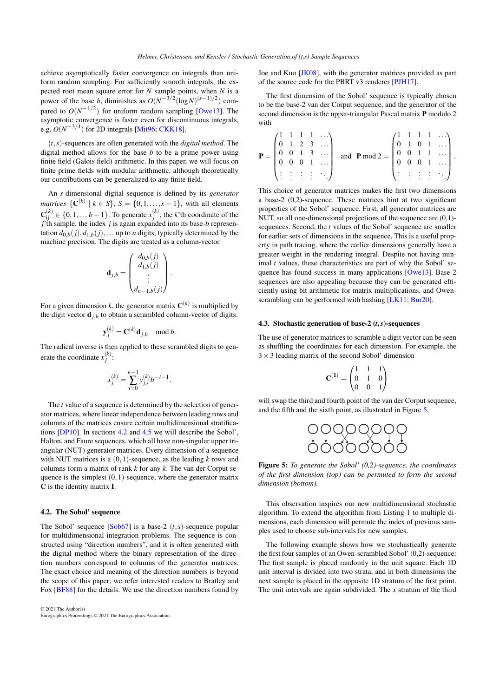<span id="page-4-3"></span>achieve asymptotically faster convergence on integrals than uniform random sampling. For sufficiently smooth integrals, the expected root mean square error for *N* sample points, when *N* is a power of the base *b*, diminishes as  $O(N^{-3/2} (\log N)^{(s-1)/2})$  compared to  $O(N^{-1/2})$  for uniform random sampling [\[Owe13\]](#page-12-4). The asymptotic convergence is faster even for discontinuous integrals, e.g.  $O(N^{-3/4})$  for 2D integrals [\[Mit96;](#page-12-3) [CKK18\]](#page-12-5).

(*t*,*s*)-sequences are often generated with the *digital method*. The digital method allows for the base *b* to be a prime power using finite field (Galois field) arithmetic. In this paper, we will focus on finite prime fields with modular arithmetic, although theoretically our contributions can be generalized to any finite field.

An *s*-dimensional digital sequence is defined by its *generator matrices*  $\{C^{(k)} \mid k \in S\}$ ,  $S = \{0, 1, \ldots, s - 1\}$ , with all elements  $\mathbf{C}_{ij}^{(k)}$  ∈ {0,1,... *b* − 1}. To generate  $x_j^{(k)}$ , the *k*'th coordinate of the *j*'th sample, the index *j* is again expanded into its base-*b* representation  $d_{0,b}(j), d_{1,b}(j), \ldots$  up to *n* digits, typically determined by the machine precision. The digits are treated as a column-vector

$$
\mathbf{d}_{j,b} = \begin{pmatrix} d_{0,b}(j) \\ d_{1,b}(j) \\ \vdots \\ d_{n-1,b}(j) \end{pmatrix}.
$$

For a given dimension *k*, the generator matrix  $\mathbf{C}^{(k)}$  is multiplied by the digit vector  $\mathbf{d}_{i,b}$  to obtain a scrambled column-vector of digits:

$$
\mathbf{y}_j^{(k)} = \mathbf{C}^{(k)} \mathbf{d}_{j,b} \mod b.
$$

The radical inverse is then applied to these scrambled digits to generate the coordinate  $x_j^{(k)}$ :

$$
x_j^{(k)} = \sum_{i=0}^{n-1} y_{j,i}^{(k)} b^{-i-1}.
$$

The *t* value of a sequence is determined by the selection of generator matrices, where linear independence between leading rows and columns of the matrices ensure certain multidimensional stratifications [\[DP10\]](#page-12-26). In sections [4.2](#page-4-0) and [4.5](#page-6-1) we will describe the Sobol', Halton, and Faure sequences, which all have non-singular upper triangular (NUT) generator matrices. Every dimension of a sequence with NUT matrices is a (0,1)-sequence, as the leading *k* rows and columns form a matrix of rank *k* for any *k*. The van der Corput sequence is the simplest  $(0,1)$ -sequence, where the generator matrix C is the identity matrix I.

# <span id="page-4-0"></span>4.2. The Sobol' sequence

The Sobol' sequence [\[Sob67\]](#page-12-22) is a base-2 (*t*,*s*)-sequence popular for multidimensional integration problems. The sequence is constructed using "direction numbers", and it is often generated with the digital method where the binary representation of the direction numbers correspond to columns of the generator matrices. The exact choice and meaning of the direction numbers is beyond the scope of this paper; we refer interested readers to Bratley and Fox [\[BF88\]](#page-11-4) for the details. We use the direction numbers found by

© 2021 The Author(s) Eurographics Proceedings © 2021 The Eurographics Association. Joe and Kuo [\[JK08\]](#page-12-31), with the generator matrices provided as part of the source code for the PBRT v3 renderer [\[PJH17\]](#page-12-0).

The first dimension of the Sobol' sequence is typically chosen to be the base-2 van der Corput sequence, and the generator of the second dimension is the upper-triangular Pascal matrix P modulo 2 with

$$
\mathbf{P} = \begin{pmatrix} 1 & 1 & 1 & 1 & \dots \\ 0 & 1 & 2 & 3 & \dots \\ 0 & 0 & 1 & 3 & \dots \\ 0 & 0 & 0 & 1 & \dots \\ \vdots & \vdots & \vdots & \vdots & \ddots \end{pmatrix} \text{ and } \mathbf{P} \text{ mod } 2 = \begin{pmatrix} 1 & 1 & 1 & 1 & \dots \\ 0 & 1 & 0 & 1 & \dots \\ 0 & 0 & 1 & 1 & \dots \\ 0 & 0 & 0 & 1 & \dots \\ \vdots & \vdots & \vdots & \vdots & \ddots \end{pmatrix}.
$$

This choice of generator matrices makes the first two dimensions a base-2 (0,2)-sequence. These matrices hint at two significant properties of the Sobol' sequence. First, all generator matrices are NUT, so all one-dimensional projections of the sequence are (0,1) sequences. Second, the *t* values of the Sobol' sequence are smaller for earlier sets of dimensions in the sequence. This is a useful property in path tracing, where the earlier dimensions generally have a greater weight in the rendering integral. Despite not having minimal *t* values, these characteristics are part of why the Sobol' sequence has found success in many applications [\[Owe13\]](#page-12-4). Base-2 sequences are also appealing because they can be generated efficiently using bit arithmetic for matrix multiplications, and Owen-scrambling can be performed with hashing [\[LK11;](#page-12-12) [Bur20\]](#page-12-13).

#### <span id="page-4-1"></span>4.3. Stochastic generation of base-2 (*t*,*s*)-sequences

The use of generator matrices to scramble a digit vector can be seen as shuffling the coordinates for each dimension. For example, the  $3 \times 3$  leading matrix of the second Sobol' dimension

$$
\mathbf{C}^{(1)} = \begin{pmatrix} 1 & 1 & 1 \\ 0 & 1 & 0 \\ 0 & 0 & 1 \end{pmatrix}
$$

<span id="page-4-2"></span>will swap the third and fourth point of the van der Corput sequence, and the fifth and the sixth point, as illustrated in Figure [5.](#page-4-2)

$$
\begin{array}{c} \n \text{POQOQOQ} \\ \n \text{OQOOOOO} \\ \n \end{array}
$$

Figure 5: *To generate the Sobol' (0,2)-sequence, the coordinates of the first dimension (top) can be permuted to form the second dimension (bottom).*

This observation inspires our new multidimensional stochastic algorithm. To extend the algorithm from Listing [1](#page-3-2) to multiple dimensions, each dimension will permute the index of previous samples used to choose sub-intervals for new samples.

The following example shows how we stochastically generate the first four samples of an Owen-scrambled Sobol' (0,2)-sequence: The first sample is placed randomly in the unit square. Each 1D unit interval is divided into two strata, and in both dimensions the next sample is placed in the opposite 1D stratum of the first point. The unit intervals are again subdivided. The *x* stratum of the third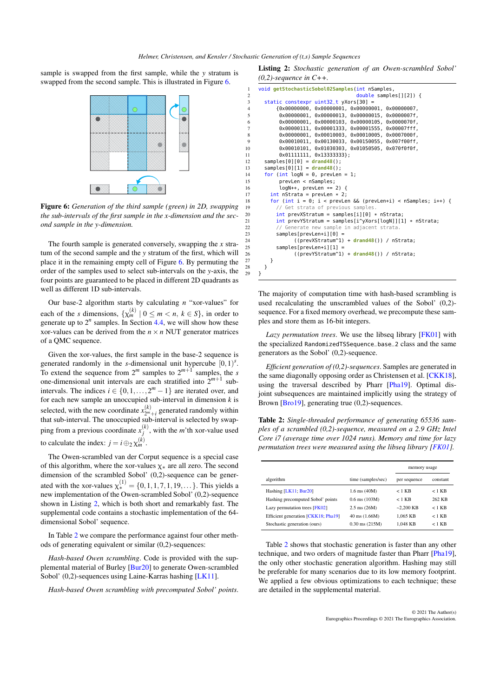<span id="page-5-3"></span><span id="page-5-0"></span>sample is swapped from the first sample, while the *y* stratum is swapped from the second sample. This is illustrated in Figure [6.](#page-5-0)



Figure 6: *Generation of the third sample (green) in 2D, swapping the sub-intervals of the first sample in the x-dimension and the second sample in the y-dimension.*

The fourth sample is generated conversely, swapping the *x* stratum of the second sample and the *y* stratum of the first, which will place it in the remaining empty cell of Figure [6.](#page-5-0) By permuting the order of the samples used to select sub-intervals on the *y*-axis, the four points are guaranteed to be placed in different 2D quadrants as well as different 1D sub-intervals.

Our base-2 algorithm starts by calculating *n* "xor-values" for each of the *s* dimensions,  $\{\chi_m^{(k)} \mid 0 \leq m < n, k \in S\}$ , in order to generate up to  $2^n$  samples. In Section [4.4,](#page-6-0) we will show how these xor-values can be derived from the  $n \times n$  NUT generator matrices of a QMC sequence.

Given the xor-values, the first sample in the base-2 sequence is generated randomly in the *s*-dimensional unit hypercube  $[0, 1)^s$ . To extend the sequence from  $2^m$  samples to  $2^{m+1}$  samples, the *s* one-dimensional unit intervals are each stratified into  $2^{m+1}$  subintervals. The indices  $i \in \{0, 1, ..., 2^m - 1\}$  are iterated over, and for each new sample an unoccupied sub-interval in dimension *k* is selected, with the new coordinate  $x_{2^m+i}^{(k)}$  generated randomly within that sub-interval. The unoccupied sub-interval is selected by swapping from a previous coordinate  $x_j^{(k)}$ , with the *m*'th xor-value used to calculate the index:  $j = i \bigoplus_2 \chi_m^{(k)}$ .

The Owen-scrambled van der Corput sequence is a special case of this algorithm, where the xor-values  $\chi_*$  are all zero. The second dimension of the scrambled Sobol' (0,2)-sequence can be generated with the xor-values  $\chi^{(1)}_* = \{0, 1, 1, 7, 1, 19, \dots\}$ . This yields a new implementation of the Owen-scrambled Sobol' (0,2)-sequence shown in Listing [2,](#page-5-1) which is both short and remarkably fast. The supplemental code contains a stochastic implementation of the 64 dimensional Sobol' sequence.

In Table [2](#page-5-2) we compare the performance against four other methods of generating equivalent or similar (0,2)-sequences:

*Hash-based Owen scrambling*. Code is provided with the supplemental material of Burley [\[Bur20\]](#page-12-13) to generate Owen-scrambled Sobol' (0,2)-sequences using Laine-Karras hashing [\[LK11\]](#page-12-12).

*Hash-based Owen scrambling with precomputed Sobol' points*.

<span id="page-5-1"></span>Listing 2: *Stochastic generation of an Owen-scrambled Sobol' (0,2)-sequence in C++.*

```
1 void getStochasticSobol02Samples(int nSamples,
 2 double samples[][2]) {
 3 static constexpr uint32_t yXors[30] =<br>4 {6 \times 000000000}. 0x00000001. 0x000000
 4 {0x00000000, 0x00000001, 0x00000001, 0x00000007,
              5 0x00000001, 0x00000013, 0x00000015, 0x0000007f,
 6 0x00000001, 0x00000103, 0x00000105, 0x0000070f,
 7 0x00000111, 0x00001333, 0x00001555, 0x00007fff,
 8 0x00000001, 0x00010003, 0x00010005, 0x0007000f,
9 0x00010011, 0x00130033, 0x00150055, 0x007f00ff,
              10 0x00010101, 0x01030303, 0x01050505, 0x070f0f0f,
11 0x01111111, 0x13333333};
12 samples[0][0] = drand48();
13 samples[0][1] = drand48();
14 for (int logN = 0, prevLen = 1;<br>15 orevLen < nSamples:
15 prevLen < nSamples;<br>16 loaN++. prevLen *=
16 logN++, prevLen *= 2) {<br>17 int nStrata = nrevLen * 2:
17 int nStrata = prevLen * 2;<br>18 for (int i = 0: i < prevLe
          for (int i = 0; i < prevLen && (prevLen+i) < nSamples; i++) {
19 // Get strata of previous samples.
20 int prevXStratum = samples[i][0] * nStrata;
21 int prevYStratum = samples[i^yXors[logN]][1] * nStrata;<br>22 // Generate new sample in adjacent strata.
22 // Generate new sample in adjacent strata.<br>23 Samples[prevlen+il[0] =
23 samples[prevLen+i][0] =<br>24 ((prevXStratum^1)<br>25 samples[prevLen+i][1] =
                     24 ((prevXStratum^1) + drand48()) / nStrata;
25 samples[prevLen+i][1] =<br>26 ((prevYStratum^1)
                     26 ((prevYStratum^1) + drand48()) / nStrata;
\begin{matrix} 27 & 3 \\ 28 & 3 \end{matrix}\begin{matrix} 28 \\ 29 \end{matrix} }
     \mathcal{E}
```
The majority of computation time with hash-based scrambling is used recalculating the unscrambled values of the Sobol' (0,2) sequence. For a fixed memory overhead, we precompute these samples and store them as 16-bit integers.

Lazy permutation trees. We use the libsed library [\[FK01\]](#page-12-32) with the specialized RandomizedTSSequence\_base\_2 class and the same generators as the Sobol' (0,2)-sequence.

*Efficient generation of (0,2)-sequences*. Samples are generated in the same diagonally opposing order as Christensen et al. [\[CKK18\]](#page-12-5), using the traversal described by Pharr [\[Pha19\]](#page-12-11). Optimal disjoint subsequences are maintained implicitly using the strategy of Brown [\[Bro19\]](#page-12-33), generating true (0,2)-sequences.

<span id="page-5-2"></span>Table 2: *Single-threaded performance of generating 65536 samples of a scrambled (0,2)-sequence, measured on a 2.9 GHz Intel Core i7 (average time over 1024 runs). Memory and time for lazy permutation trees were measured using the libseq library [\[FK01\]](#page-12-32).* 

|                                     |                          | memory usage |          |
|-------------------------------------|--------------------------|--------------|----------|
| algorithm                           | time (samples/sec)       | per sequence | constant |
| Hashing [LK11; Bur20]               | $1.6$ ms $(40M)$         | $<$ 1 KB     | $<$ 1 KB |
| Hashing precomputed Sobol' points   | $0.6$ ms $(103M)$        | $<$ 1 KB     | 262 KB   |
| Lazy permutation trees $[FK02]$     | $2.5 \text{ ms } (26M)$  | $-2.200$ KB  | $<$ 1 KB |
| Efficient generation [CKK18; Pha19] | $40 \text{ ms } (1.66M)$ | 1.065 KB     | $<$ 1 KB |
| Stochastic generation (ours)        | $0.30$ ms $(215M)$       | 1.048 KB     | $<$ 1 KB |

Table [2](#page-5-2) shows that stochastic generation is faster than any other technique, and two orders of magnitude faster than Pharr [\[Pha19\]](#page-12-11), the only other stochastic generation algorithm. Hashing may still be preferable for many scenarios due to its low memory footprint. We applied a few obvious optimizations to each technique; these are detailed in the supplemental material.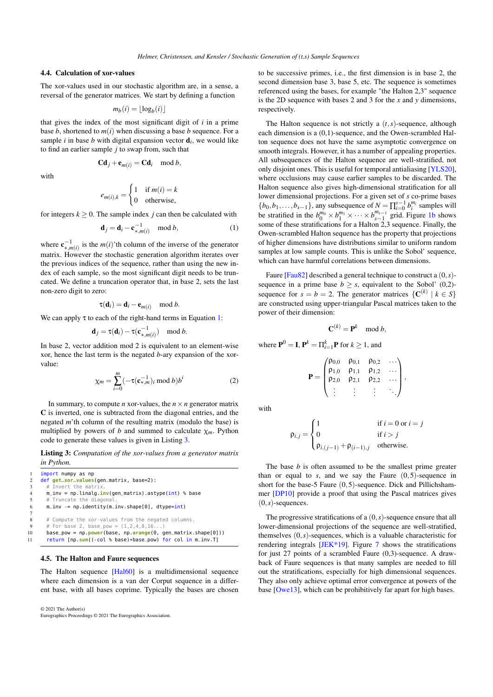## <span id="page-6-5"></span><span id="page-6-0"></span>4.4. Calculation of xor-values

The xor-values used in our stochastic algorithm are, in a sense, a reversal of the generator matrices. We start by defining a function

$$
m_b(i) = \lfloor \log_b(i) \rfloor
$$

that gives the index of the most significant digit of *i* in a prime base  $b$ , shortened to  $m(i)$  when discussing a base  $b$  sequence. For a sample  $i$  in base  $b$  with digital expansion vector  $\mathbf{d}_i$ , we would like to find an earlier sample *j* to swap from, such that

with

$$
\mathbf{C}\mathbf{d}_j + \mathbf{e}_{m(i)} = \mathbf{C}\mathbf{d}_i \mod b,
$$

$$
e_{m(i),k} = \begin{cases} 1 & \text{if } m(i) = k \\ 0 & \text{otherwise,} \end{cases}
$$

for integers  $k > 0$ . The sample index *i* can then be calculated with

$$
\mathbf{d}_j = \mathbf{d}_i - \mathbf{c}_{*,m(i)}^{-1} \mod b,\tag{1}
$$

where  $\mathbf{c}_{*,m(i)}^{-1}$  is the  $m(i)$ 'th column of the inverse of the generator matrix. However the stochastic generation algorithm iterates over the previous indices of the sequence, rather than using the new index of each sample, so the most significant digit needs to be truncated. We define a truncation operator that, in base 2, sets the last non-zero digit to zero:

$$
\tau(\mathbf{d}_i) = \mathbf{d}_i - \mathbf{e}_{m(i)} \mod b.
$$

We can apply  $\tau$  to each of the right-hand terms in Equation [1:](#page-6-2)

$$
\mathbf{d}_j = \tau(\mathbf{d}_i) - \tau(\mathbf{c}_{*,m(i)}^{-1}) \mod
$$

<span id="page-6-4"></span>In base 2, vector addition mod 2 is equivalent to an element-wise xor, hence the last term is the negated *b*-ary expansion of the xorvalue:

$$
\chi_m = \sum_{i=0}^m \left( -\tau(\mathbf{c}_{*,m}^{-1})_i \bmod b \right) b^i \tag{2}
$$

 $\boldsymbol{h}$ 

In summary, to compute *n* xor-values, the  $n \times n$  generator matrix C is inverted, one is subtracted from the diagonal entries, and the negated *m*'th column of the resulting matrix (modulo the base) is multiplied by powers of *b* and summed to calculate  $\chi_m$ . Python code to generate these values is given in Listing [3.](#page-6-3)

<span id="page-6-3"></span>Listing 3: *Computation of the xor-values from a generator matrix in Python.*

import numpy as np 2 def **get\_xor\_values**(gen\_matrix, base=2):  $3$  # Invert the matrix 4 m\_inv = np.linalg.**inv**(gen\_matrix).astype(int) % base 5 # Truncate the diagona<br>6 **m\_inv -= np.identity(m**  $m_i$ inv -= np.identity( $m_i$ inv.shape[0], dtype=int) 8 # Compute the xor-values from the negated columns. 9 # For base 2, base\_pow =  $(1, 2, 4, 8, 16...)$ 10 base\_pow = np.**power**(base, np.**arange**(0, gen\_matrix.shape[0])) <sup>11</sup> return [np.**sum**((-col % base)\*base\_pow) for col in m\_inv.T]

#### <span id="page-6-1"></span>4.5. The Halton and Faure sequences

7

The Halton sequence [\[Hal60\]](#page-12-23) is a multidimensional sequence where each dimension is a van der Corput sequence in a different base, with all bases coprime. Typically the bases are chosen

© 2021 The Author(s) Eurographics Proceedings © 2021 The Eurographics Association. to be successive primes, i.e., the first dimension is in base 2, the second dimension base 3, base 5, etc. The sequence is sometimes referenced using the bases, for example "the Halton 2,3" sequence is the 2D sequence with bases 2 and 3 for the *x* and *y* dimensions, respectively.

The Halton sequence is not strictly a  $(t, s)$ -sequence, although each dimension is a (0,1)-sequence, and the Owen-scrambled Halton sequence does not have the same asymptotic convergence on smooth integrals. However, it has a number of appealing properties. All subsequences of the Halton sequence are well-stratified, not only disjoint ones. This is useful for temporal antialiasing [\[YLS20\]](#page-12-34), where occlusions may cause earlier samples to be discarded. The Halton sequence also gives high-dimensional stratification for all lower dimensional projections. For a given set of *s* co-prime bases  ${b_0, b_1, \ldots, b_{s-1}}$ , any subsequence of  $N = \prod_{i=0}^{s-1} b_i^{m_i}$  samples will be stratified in the  $b_0^{m_0} \times b_1^{m_1} \times \cdots \times b_{s-1}^{m_{s-1}}$  grid. Figure [1b](#page-0-0) shows some of these stratifications for a Halton 2,3 sequence. Finally, the Owen-scrambled Halton sequence has the property that projections of higher dimensions have distributions similar to uniform random samples at low sample counts. This is unlike the Sobol' sequence, which can have harmful correlations between dimensions.

<span id="page-6-2"></span>Faure [\[Fau82\]](#page-12-24) described a general technique to construct a (0,*s*) sequence in a prime base  $b \geq s$ , equivalent to the Sobol' (0,2)sequence for  $s = b = 2$ . The generator matrices  $\{C^{(k)} | k \in S\}$ are constructed using upper-triangular Pascal matrices taken to the power of their dimension:

$$
\mathbf{C}^{(k)} = \mathbf{P}^k \mod b,
$$

where  $P^0 = I$ ,  $P^k = \prod_{i=1}^k P$  for  $k \ge 1$ , and

$$
\mathbf{P} = \begin{pmatrix} \rho_{0,0} & \rho_{0,1} & \rho_{0,2} & \dots \\ \rho_{1,0} & \rho_{1,1} & \rho_{1,2} & \dots \\ \rho_{2,0} & \rho_{2,1} & \rho_{2,2} & \dots \\ \vdots & \vdots & \vdots & \ddots \end{pmatrix},
$$

with

$$
\rho_{i,j} = \begin{cases}\n1 & \text{if } i = 0 \text{ or } i = j \\
0 & \text{if } i > j \\
\rho_{i,(j-1)} + \rho_{(i-1),j} & \text{otherwise.} \n\end{cases}
$$

The base *b* is often assumed to be the smallest prime greater than or equal to  $s$ , and we say the Faure  $(0,5)$ -sequence in short for the base-5 Faure (0,5)-sequence. Dick and Pillichshammer [\[DP10\]](#page-12-26) provide a proof that using the Pascal matrices gives  $(0, s)$ -sequences.

The progressive stratifications of a  $(0, s)$ -sequence ensure that all lower-dimensional projections of the sequence are well-stratified, themselves (0,*s*)-sequences, which is a valuable characteristic for rendering integrals [\[JEK\\*19\]](#page-12-8). Figure [7](#page-7-1) shows the stratifications for just 27 points of a scrambled Faure (0,3)-sequence. A drawback of Faure sequences is that many samples are needed to fill out the stratifications, especially for high dimensional sequences. They also only achieve optimal error convergence at powers of the base [\[Owe13\]](#page-12-4), which can be prohibitively far apart for high bases.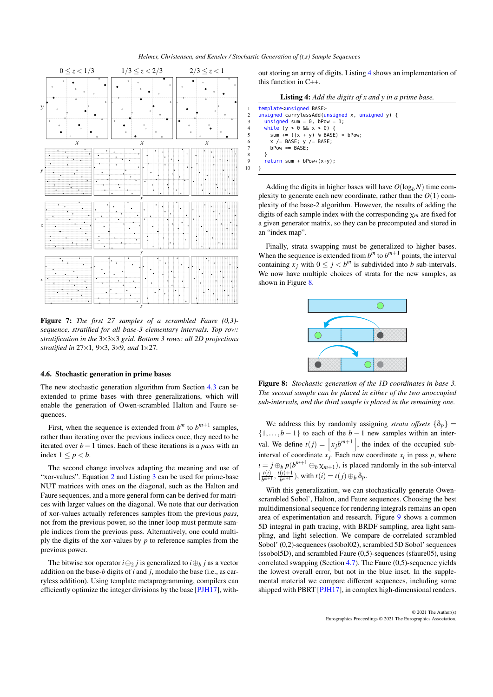<span id="page-7-4"></span><span id="page-7-1"></span>

Figure 7: *The first 27 samples of a scrambled Faure (0,3) sequence, stratified for all base-3 elementary intervals. Top row: stratification in the* 3×3×3 *grid. Bottom 3 rows: all 2D projections stratified in* 27×1*,* 9×3*,* 3×9*, and* 1×27*.*

## <span id="page-7-0"></span>4.6. Stochastic generation in prime bases

The new stochastic generation algorithm from Section [4.3](#page-4-1) can be extended to prime bases with three generalizations, which will enable the generation of Owen-scrambled Halton and Faure sequences.

First, when the sequence is extended from  $b^m$  to  $b^{m+1}$  samples, rather than iterating over the previous indices once, they need to be iterated over *b*−1 times. Each of these iterations is a *pass* with an index  $1 \leq p < b$ .

The second change involves adapting the meaning and use of "xor-values". Equation [2](#page-6-4) and Listing [3](#page-6-3) can be used for prime-base NUT matrices with ones on the diagonal, such as the Halton and Faure sequences, and a more general form can be derived for matrices with larger values on the diagonal. We note that our derivation of xor-values actually references samples from the previous *pass*, not from the previous power, so the inner loop must permute sample indices from the previous pass. Alternatively, one could multiply the digits of the xor-values by *p* to reference samples from the previous power.

The bitwise xor operator  $i \oplus_2 j$  is generalized to  $i \oplus_b j$  as a vector addition on the base-*b* digits of *i* and *j*, modulo the base (i.e., as carryless addition). Using template metaprogramming, compilers can efficiently optimize the integer divisions by the base [\[PJH17\]](#page-12-0), with10 }

out storing an array of digits. Listing [4](#page-7-2) shows an implementation of this function in C++.

| <b>Listing 4:</b> Add the digits of $x$ and $y$ in a prime base. |  |  |  |  |
|------------------------------------------------------------------|--|--|--|--|
|------------------------------------------------------------------|--|--|--|--|

```
template<unsigned BASE>
2 unsigned carrylessAdd(unsigned x, unsigned y) {<br>3 unsigned sum = 0, bPow = 1:
       unsigned sum = 0, bPow = 1;
4 while (y > 0 && x > 0) {
5 sum += ((x + y) % BASE) * bPow;
         x /= BASE; y /= BASE;
7 bPow *= BASE;
8 }
9 return sum + bPow*(x+y);
```
Adding the digits in higher bases will have  $O(log_b N)$  time complexity to generate each new coordinate, rather than the  $O(1)$  complexity of the base-2 algorithm. However, the results of adding the digits of each sample index with the corresponding χ*m* are fixed for a given generator matrix, so they can be precomputed and stored in an "index map".

Finally, strata swapping must be generalized to higher bases. When the sequence is extended from  $b^m$  to  $b^{m+1}$  points, the interval containing  $x_j$  with  $0 \le j < b^m$  is subdivided into *b* sub-intervals. We now have multiple choices of strata for the new samples, as shown in Figure [8.](#page-7-3)

<span id="page-7-3"></span>

Figure 8: *Stochastic generation of the 1D coordinates in base 3. The second sample can be placed in either of the two unoccupied sub-intervals, and the third sample is placed in the remaining one.*

We address this by randomly assigning *strata offsets*  $\{\delta_p\}$  =  $\{1,\ldots,b-1\}$  to each of the *b* − 1 new samples within an interval. We define  $t(j) = |x_j b^{m+1}|$ , the index of the occupied subinterval of coordinate  $x_j$ . Each new coordinate  $x_i$  in pass  $p$ , where  $i = j \bigoplus_b p(b^{m+1} \bigoplus_b \chi_{m+1})$ , is placed randomly in the sub-interval  $\left[\frac{t(i)}{b^{m+1}}\right]$  $\frac{t(i)}{b^{m+1}}, \frac{t(i)+1}{b^{m+1}}$  $\frac{(l) + 1}{b^{m+1}}$ , with  $t(i) = t(j) \bigoplus_b \delta_p$ .

With this generalization, we can stochastically generate Owenscrambled Sobol', Halton, and Faure sequences. Choosing the best multidimensional sequence for rendering integrals remains an open area of experimentation and research. Figure [9](#page-8-1) shows a common 5D integral in path tracing, with BRDF sampling, area light sampling, and light selection. We compare de-correlated scrambled Sobol' (0,2)-sequences (ssobol02), scrambled 5D Sobol' sequences (ssobol5D), and scrambled Faure (0,5)-sequences (sfaure05), using correlated swapping (Section [4.7\)](#page-8-0). The Faure (0,5)-sequence yields the lowest overall error, but not in the blue inset. In the supplemental material we compare different sequences, including some shipped with PBRT [\[PJH17\]](#page-12-0), in complex high-dimensional renders.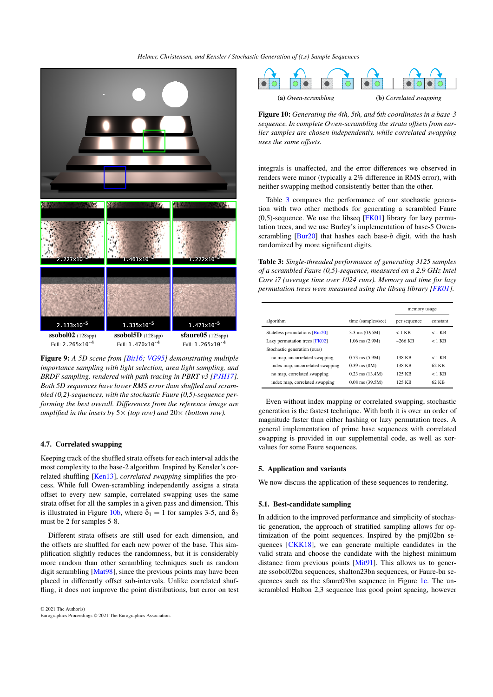*Helmer, Christensen, and Kensler / Stochastic Generation of (t,s) Sample Sequences*

<span id="page-8-4"></span><span id="page-8-1"></span>

Figure 9: *A 5D scene from [\[Bit16;](#page-11-5) [VG95\]](#page-12-35) demonstrating multiple importance sampling with light selection, area light sampling, and BRDF sampling, rendered with path tracing in PBRT v3 [\[PJH17\]](#page-12-0). Both 5D sequences have lower RMS error than shuffled and scrambled (0,2)-sequences, with the stochastic Faure (0,5)-sequence performing the best overall. Differences from the reference image are amplified in the insets by*  $5 \times$  *(top row) and*  $20 \times$  *(bottom row).* 

#### <span id="page-8-0"></span>4.7. Correlated swapping

Keeping track of the shuffled strata offsets for each interval adds the most complexity to the base-2 algorithm. Inspired by Kensler's correlated shuffling [\[Ken13\]](#page-12-17), *correlated swapping* simplifies the process. While full Owen-scrambling independently assigns a strata offset to every new sample, correlated swapping uses the same strata offset for all the samples in a given pass and dimension. This is illustrated in Figure [10b,](#page-8-2) where  $\delta_1 = 1$  for samples 3-5, and  $\delta_2$ must be 2 for samples 5-8.

Different strata offsets are still used for each dimension, and the offsets are shuffled for each new power of the base. This simplification slightly reduces the randomness, but it is considerably more random than other scrambling techniques such as random digit scrambling [\[Mat98\]](#page-12-27), since the previous points may have been placed in differently offset sub-intervals. Unlike correlated shuffling, it does not improve the point distributions, but error on test

© 2021 The Author(s) Eurographics Proceedings © 2021 The Eurographics Association.

<span id="page-8-2"></span>

Figure 10: *Generating the 4th, 5th, and 6th coordinates in a base-3 sequence. In complete Owen-scrambling the strata offsets from earlier samples are chosen independently, while correlated swapping uses the same offsets.*

integrals is unaffected, and the error differences we observed in renders were minor (typically a 2% difference in RMS error), with neither swapping method consistently better than the other.

Table [3](#page-8-3) compares the performance of our stochastic generation with two other methods for generating a scrambled Faure  $(0,5)$ -sequence. We use the libseq [\[FK01\]](#page-12-32) library for lazy permutation trees, and we use Burley's implementation of base-5 Owenscrambling [\[Bur20\]](#page-12-13) that hashes each base-*b* digit, with the hash randomized by more significant digits.

<span id="page-8-3"></span>Table 3: *Single-threaded performance of generating 3125 samples of a scrambled Faure (0,5)-sequence, measured on a 2.9 GHz Intel Core i7 (average time over 1024 runs). Memory and time for lazy permutation trees were measured using the libseq library [\[FK01\]](#page-12-32)*.

|                                  |                     | memory usage |          |
|----------------------------------|---------------------|--------------|----------|
| algorithm                        | time (samples/sec)  | per sequence | constant |
| Stateless permutations [Bur20]   | $3.3$ ms $(0.95M)$  | $<$ 1 KB     | $<$ 1 KB |
| Lazy permutation trees [FK02]    | $1.06$ ms $(2.9M)$  | $~266$ KB    | $<$ 1 KB |
| Stochastic generation (ours)     |                     |              |          |
| no map, uncorrelated swapping    | $0.53$ ms $(5.9M)$  | 138 KB       | $<$ 1 KB |
| index map, uncorrelated swapping | $0.39$ ms $(8M)$    | 138 KB       | 62 KB    |
| no map, correlated swapping      | $0.23$ ms $(13.4M)$ | 125 KB       | $<$ 1 KB |
| index map, correlated swapping   | $0.08$ ms $(39.5M)$ | 125 KB       | 62 KB    |

Even without index mapping or correlated swapping, stochastic generation is the fastest technique. With both it is over an order of magnitude faster than either hashing or lazy permutation trees. A general implementation of prime base sequences with correlated swapping is provided in our supplemental code, as well as xorvalues for some Faure sequences.

#### 5. Application and variants

We now discuss the application of these sequences to rendering.

# 5.1. Best-candidate sampling

In addition to the improved performance and simplicity of stochastic generation, the approach of stratified sampling allows for optimization of the point sequences. Inspired by the pmj02bn sequences [\[CKK18\]](#page-12-5), we can generate multiple candidates in the valid strata and choose the candidate with the highest minimum distance from previous points [\[Mit91\]](#page-12-20). This allows us to generate ssobol02bn sequences, shalton23bn sequences, or Faure-bn sequences such as the sfaure03bn sequence in Figure [1c.](#page-0-1) The unscrambled Halton 2,3 sequence has good point spacing, however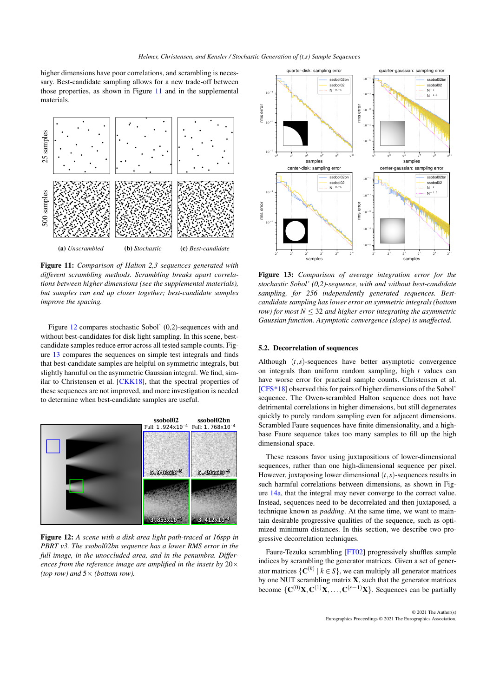<span id="page-9-3"></span>higher dimensions have poor correlations, and scrambling is necessary. Best-candidate sampling allows for a new trade-off between those properties, as shown in Figure [11](#page-9-0) and in the supplemental materials.

<span id="page-9-0"></span>

Figure 11: *Comparison of Halton 2,3 sequences generated with different scrambling methods. Scrambling breaks apart correlations between higher dimensions (see the supplemental materials), but samples can end up closer together; best-candidate samples improve the spacing.*

Figure [12](#page-9-1) compares stochastic Sobol' (0,2)-sequences with and without best-candidates for disk light sampling. In this scene, bestcandidate samples reduce error across all tested sample counts. Figure [13](#page-9-2) compares the sequences on simple test integrals and finds that best-candidate samples are helpful on symmetric integrals, but slightly harmful on the asymmetric Gaussian integral. We find, similar to Christensen et al. [\[CKK18\]](#page-12-5), that the spectral properties of these sequences are not improved, and more investigation is needed to determine when best-candidate samples are useful.

<span id="page-9-1"></span>

Figure 12: *A scene with a disk area light path-traced at 16spp in PBRT v3. The ssobol02bn sequence has a lower RMS error in the full image, in the unoccluded area, and in the penumbra. Differences from the reference image are amplified in the insets by* 20× *(top row) and* 5× *(bottom row).*

<span id="page-9-2"></span>

Figure 13: *Comparison of average integration error for the stochastic Sobol' (0,2)-sequence, with and without best-candidate sampling, for 256 independently generated sequences. Bestcandidate sampling has lower error on symmetric integrals (bottom row) for most N* ≤ 32 *and higher error integrating the asymmetric Gaussian function. Asymptotic convergence (slope) is unaffected.*

## 5.2. Decorrelation of sequences

Although (*t*,*s*)-sequences have better asymptotic convergence on integrals than uniform random sampling, high *t* values can have worse error for practical sample counts. Christensen et al. [\[CFS\\*18\]](#page-12-2) observed this for pairs of higher dimensions of the Sobol' sequence. The Owen-scrambled Halton sequence does not have detrimental correlations in higher dimensions, but still degenerates quickly to purely random sampling even for adjacent dimensions. Scrambled Faure sequences have finite dimensionality, and a highbase Faure sequence takes too many samples to fill up the high dimensional space.

These reasons favor using juxtapositions of lower-dimensional sequences, rather than one high-dimensional sequence per pixel. However, juxtaposing lower dimensional (*t*,*s*)-sequences results in such harmful correlations between dimensions, as shown in Figure [14a,](#page-10-0) that the integral may never converge to the correct value. Instead, sequences need to be decorrelated and then juxtaposed, a technique known as *padding*. At the same time, we want to maintain desirable progressive qualities of the sequence, such as optimized minimum distances. In this section, we describe two progressive decorrelation techniques.

Faure-Tezuka scrambling [\[FT02\]](#page-12-36) progressively shuffles sample indices by scrambling the generator matrices. Given a set of generator matrices  $\{C^{(k)} | k \in S\}$ , we can multiply all generator matrices by one NUT scrambling matrix X, such that the generator matrices become  $\{C^{(0)}X, C^{(1)}X, \ldots, C^{(s-1)}X\}$ . Sequences can be partially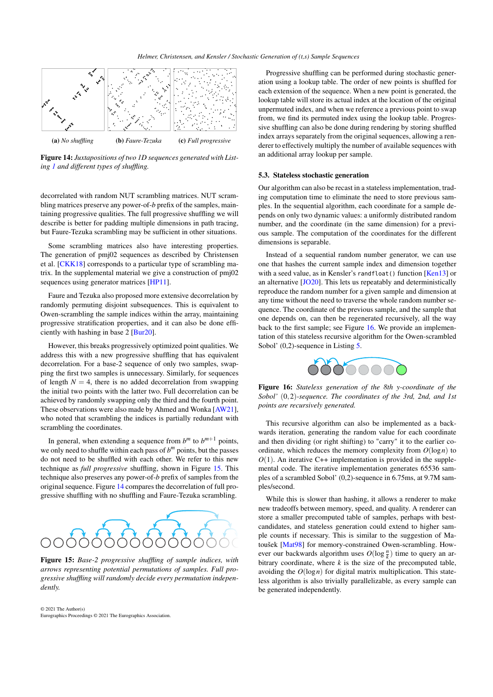<span id="page-10-3"></span><span id="page-10-0"></span>

Figure 14: *Juxtapositions of two 1D sequences generated with Listing [1](#page-3-2) and different types of shuffling.*

decorrelated with random NUT scrambling matrices. NUT scrambling matrices preserve any power-of-*b* prefix of the samples, maintaining progressive qualities. The full progressive shuffling we will describe is better for padding multiple dimensions in path tracing, but Faure-Tezuka scrambling may be sufficient in other situations.

Some scrambling matrices also have interesting properties. The generation of pmj02 sequences as described by Christensen et al. [\[CKK18\]](#page-12-5) corresponds to a particular type of scrambling matrix. In the supplemental material we give a construction of pmj02 sequences using generator matrices [\[HP11\]](#page-12-37).

Faure and Tezuka also proposed more extensive decorrelation by randomly permuting disjoint subsequences. This is equivalent to Owen-scrambling the sample indices within the array, maintaining progressive stratification properties, and it can also be done efficiently with hashing in base 2 [\[Bur20\]](#page-12-13).

However, this breaks progressively optimized point qualities. We address this with a new progressive shuffling that has equivalent decorrelation. For a base-2 sequence of only two samples, swapping the first two samples is unnecessary. Similarly, for sequences of length  $N = 4$ , there is no added decorrelation from swapping the initial two points with the latter two. Full decorrelation can be achieved by randomly swapping only the third and the fourth point. These observations were also made by Ahmed and Wonka [\[AW21\]](#page-11-3), who noted that scrambling the indices is partially redundant with scrambling the coordinates.

In general, when extending a sequence from  $b^m$  to  $b^{m+1}$  points, we only need to shuffle within each pass of  $b^m$  points, but the passes do not need to be shuffled with each other. We refer to this new technique as *full progressive* shuffling, shown in Figure [15.](#page-10-1) This technique also preserves any power-of-*b* prefix of samples from the original sequence. Figure [14](#page-10-0) compares the decorrelation of full progressive shuffling with no shuffling and Faure-Tezuka scrambling.

<span id="page-10-1"></span>

Figure 15: *Base-2 progressive shuffling of sample indices, with arrows representing potential permutations of samples. Full progressive shuffling will randomly decide every permutation independently.*

© 2021 The Author(s) Eurographics Proceedings © 2021 The Eurographics Association.

Progressive shuffling can be performed during stochastic generation using a lookup table. The order of new points is shuffled for each extension of the sequence. When a new point is generated, the lookup table will store its actual index at the location of the original unpermuted index, and when we reference a previous point to swap from, we find its permuted index using the lookup table. Progressive shuffling can also be done during rendering by storing shuffled index arrays separately from the original sequences, allowing a renderer to effectively multiply the number of available sequences with an additional array lookup per sample.

#### 5.3. Stateless stochastic generation

Our algorithm can also be recast in a stateless implementation, trading computation time to eliminate the need to store previous samples. In the sequential algorithm, each coordinate for a sample depends on only two dynamic values: a uniformly distributed random number, and the coordinate (in the same dimension) for a previous sample. The computation of the coordinates for the different dimensions is separable.

Instead of a sequential random number generator, we can use one that hashes the current sample index and dimension together with a seed value, as in Kensler's randfloat () function [\[Ken13\]](#page-12-17) or an alternative [\[JO20\]](#page-12-38). This lets us repeatably and deterministically reproduce the random number for a given sample and dimension at any time without the need to traverse the whole random number sequence. The coordinate of the previous sample, and the sample that one depends on, can then be regenerated recursively, all the way back to the first sample; see Figure [16.](#page-10-2) We provide an implementation of this stateless recursive algorithm for the Owen-scrambled Sobol' (0,2)-sequence in Listing [5.](#page-11-6)



<span id="page-10-2"></span>Figure 16: *Stateless generation of the 8th y-coordinate of the Sobol'* (0,2)*-sequence. The coordinates of the 3rd, 2nd, and 1st points are recursively generated.*

This recursive algorithm can also be implemented as a backwards iteration, generating the random value for each coordinate and then dividing (or right shifting) to "carry" it to the earlier coordinate, which reduces the memory complexity from  $O(\log n)$  to  $O(1)$ . An iterative C++ implementation is provided in the supplemental code. The iterative implementation generates 65536 samples of a scrambled Sobol' (0,2)-sequence in 6.75ms, at 9.7M samples/second.

While this is slower than hashing, it allows a renderer to make new tradeoffs between memory, speed, and quality. A renderer can store a smaller precomputed table of samples, perhaps with bestcandidates, and stateless generation could extend to higher sample counts if necessary. This is similar to the suggestion of Matoušek [\[Mat98\]](#page-12-27) for memory-constrained Owen-scrambling. However our backwards algorithm uses  $O(\log \frac{n}{k})$  time to query an arbitrary coordinate, where  $k$  is the size of the precomputed table, avoiding the  $O(log n)$  for digital matrix multiplication. This stateless algorithm is also trivially parallelizable, as every sample can be generated independently.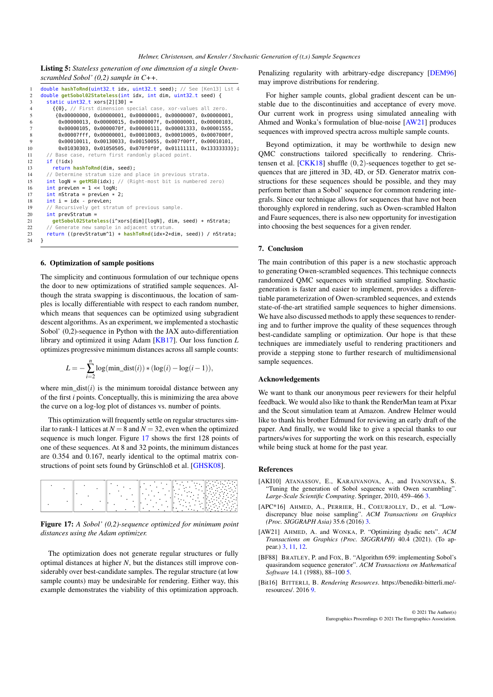<span id="page-11-8"></span><span id="page-11-6"></span>Listing 5: *Stateless generation of one dimension of a single Owenscrambled Sobol' (0,2) sample in C++.*

```
1 double hashToRnd(uint32_t idx, uint32_t seed); // See [Ken13] Lst 4
 2 double getSobol02Stateless(int idx, int dim, uint32_t seed) {
 3 static uint32<sub>-</sub>t xors[2][30] =
 4 {{0}, // First dimension special case, xor-values all zero.
            5 {0x00000000, 0x00000001, 0x00000001, 0x00000007, 0x00000001,
 6 0x00000013, 0x00000015, 0x0000007f, 0x00000001, 0x00000103,
 7 0x00000105, 0x0000070f, 0x00000111, 0x00001333, 0x00001555,
 8 0x00007fff, 0x00000001, 0x00010003, 0x00010005, 0x0007000f,
9 0x00010011, 0x00130033, 0x00150055, 0x007f00ff, 0x00010101<br>10 0x01030303, 0x01050505, 0x070f0f0f, 0x01111111, 0x13333333
             10 0x01030303, 0x01050505, 0x070f0f0f, 0x01111111, 0x13333333}};
11 // Base case, return first randomly placed point
12 if (!idx)
13 return hashToRnd(dim, seed);
14 // Determine stratum size and place in previous strata.<br>15 int logN = \frac{getMSB(idx)}{x} // (Right-most bit is numbered
15 int logN = getMSB(idx); // (Right-most bit is numbered zero)<br>16 int prevLen = 1 \ll logN:
16 int prevLen = 1 << logN;<br>17 int nstrata = prevLen *17 int nStrata = prevLen * 2;<br>18 int i = idx - prevLen:
        int i = i dx - prevLen;19 // Recursively get stratum of previous sample.
20 int prevStratum =<br>21 aet Sobol02State21 getSobol02Stateless(i^xors[dim][logN], dim, seed) * nStrata;<br>22 // Generate new sample in adiacent stratum.
22 // Generate new sample in adjacent s<br>23 return ((prevStratum^1) + hashToRnd
     return ((prevStratum^1) + hashToRnd(idx*2+dim, seed)) / nStrata;<br>}
```
## <span id="page-11-0"></span>6. Optimization of sample positions

24 }

The simplicity and continuous formulation of our technique opens the door to new optimizations of stratified sample sequences. Although the strata swapping is discontinuous, the location of samples is locally differentiable with respect to each random number, which means that sequences can be optimized using subgradient descent algorithms. As an experiment, we implemented a stochastic Sobol' (0,2)-sequence in Python with the JAX auto-differentiation library and optimized it using Adam [\[KB17\]](#page-12-39). Our loss function *L* optimizes progressive minimum distances across all sample counts:

$$
L = -\sum_{i=2}^{n} \log(\min\_{\text{dist}}(i)) * (\log(i) - \log(i-1)),
$$

where min  $dist(i)$  is the minimum toroidal distance between any of the first *i* points. Conceptually, this is minimizing the area above the curve on a log-log plot of distances vs. number of points.

This optimization will frequently settle on regular structures similar to rank-1 lattices at  $N = 8$  and  $N = 32$ , even when the optimized sequence is much longer. Figure [17](#page-11-7) shows the first 128 points of one of these sequences. At 8 and 32 points, the minimum distances are 0.354 and 0.167, nearly identical to the optimal matrix constructions of point sets found by Grünschloß et al. [\[GHSK08\]](#page-12-40).

<span id="page-11-7"></span>

|  |             | <b></b><br>.<br>$\bullet$                                                              | a Maria ya T<br>.<br>it ku                                                                                                                                                           |
|--|-------------|----------------------------------------------------------------------------------------|--------------------------------------------------------------------------------------------------------------------------------------------------------------------------------------|
|  | ٠<br>٠      | $\bullet$<br>$\cdot$<br><b>Carter</b>                                                  | $\parallel$<br>$\bullet$<br>$\mathcal{L}_{\mathcal{A}}$<br>$\cdot$ .<br>$\sim 100$ km s $^{-1}$<br>$\mathcal{O}(\mathcal{O}_\mathcal{O})$ .                                          |
|  | ٠           | <b>The College College</b><br>٠<br>٠<br>$\sim$ $\sim$<br>٠                             | in gir<br>٠<br>$\cdot$<br>$\cdot$<br>÷.<br>٠<br>i Pravil<br>٠<br><b>Contract</b><br>$\mathcal{L}^{\text{max}}$ . The $\mathcal{L}^{\text{max}}$<br>$\cdot$                           |
|  | ٠<br>۰<br>٠ | <b>TAN</b><br><b>Contract</b><br>$\mathcal{N}_{\mathcal{A}}$<br>$\ddotsc$<br>$\cdot$ . | $\parallel$<br>. <u>.</u><br>$\cdot$ .<br>$\bullet$<br>$\mathcal{L}^{\text{max}}_{\text{max}}$<br>$\bullet$<br>٠.<br>$\ddot{\phantom{1}}$<br>$\bullet$<br>٠<br>i eta<br>.<br>$\cdot$ |
|  |             | $\cdot$ .<br>٠<br><b>Contract</b>                                                      | ٠<br>$\cdot$<br>$\ddot{\phantom{a}}$<br>in a control<br>٠<br>$\cdots$<br>$\cdots$<br>. .                                                                                             |

Figure 17: *A Sobol' (0,2)-sequence optimized for minimum point distances using the Adam optimizer.*

The optimization does not generate regular structures or fully optimal distances at higher *N*, but the distances still improve considerably over best-candidate samples. The regular structure (at low sample counts) may be undesirable for rendering. Either way, this example demonstrates the viability of this optimization approach.

Penalizing regularity with arbitrary-edge discrepancy [\[DEM96\]](#page-12-41) may improve distributions for rendering.

For higher sample counts, global gradient descent can be unstable due to the discontinuities and acceptance of every move. Our current work in progress using simulated annealing with Ahmed and Wonka's formulation of blue-noise [\[AW21\]](#page-11-3) produces sequences with improved spectra across multiple sample counts.

Beyond optimization, it may be worthwhile to design new QMC constructions tailored specifically to rendering. Christensen et al.  $[CKK18]$  shuffle  $(0,2)$ -sequences together to get sequences that are jittered in 3D, 4D, or 5D. Generator matrix constructions for these sequences should be possible, and they may perform better than a Sobol' sequence for common rendering integrals. Since our technique allows for sequences that have not been thoroughly explored in rendering, such as Owen-scrambled Halton and Faure sequences, there is also new opportunity for investigation into choosing the best sequences for a given render.

# 7. Conclusion

The main contribution of this paper is a new stochastic approach to generating Owen-scrambled sequences. This technique connects randomized QMC sequences with stratified sampling. Stochastic generation is faster and easier to implement, provides a differentiable parameterization of Owen-scrambled sequences, and extends state-of-the-art stratified sample sequences to higher dimensions. We have also discussed methods to apply these sequences to rendering and to further improve the quality of these sequences through best-candidate sampling or optimization. Our hope is that these techniques are immediately useful to rendering practitioners and provide a stepping stone to further research of multidimensional sample sequences.

#### Acknowledgements

We want to thank our anonymous peer reviewers for their helpful feedback. We would also like to thank the RenderMan team at Pixar and the Scout simulation team at Amazon. Andrew Helmer would like to thank his brother Edmund for reviewing an early draft of the paper. And finally, we would like to give a special thanks to our partners/wives for supporting the work on this research, especially while being stuck at home for the past year.

#### References

- <span id="page-11-1"></span>[AKI10] ATANASSOV, E., KARAIVANOVA, A., and IVANOVSKA, S. "Tuning the generation of Sobol sequence with Owen scrambling". *Large-Scale Scientific Computing*. Springer, 2010, 459–466 [3.](#page-2-6)
- <span id="page-11-2"></span>[APC\*16] AHMED, A., PERRIER, H., COEURJOLLY, D., et al. "Lowdiscrepancy blue noise sampling". *ACM Transactions on Graphics (Proc. SIGGRAPH Asia)* 35.6 (2016) [3.](#page-2-6)
- <span id="page-11-3"></span>[AW21] AHMED, A. and WONKA, P. "Optimizing dyadic nets". *ACM Transactions on Graphics (Proc. SIGGRAPH)* 40.4 (2021). (To appear.) [3,](#page-2-6) [11,](#page-10-3) [12.](#page-11-8)
- <span id="page-11-4"></span>[BF88] BRATLEY, P. and FOX, B. "Algorithm 659: implementing Sobol's quasirandom sequence generator". *ACM Transactions on Mathematical Software* 14.1 (1988), 88–100 [5.](#page-4-3)
- <span id="page-11-5"></span>[Bit16] BITTERLI, B. *Rendering Resources*. https://benedikt-bitterli.me/ resources/. 2016 [9.](#page-8-4)